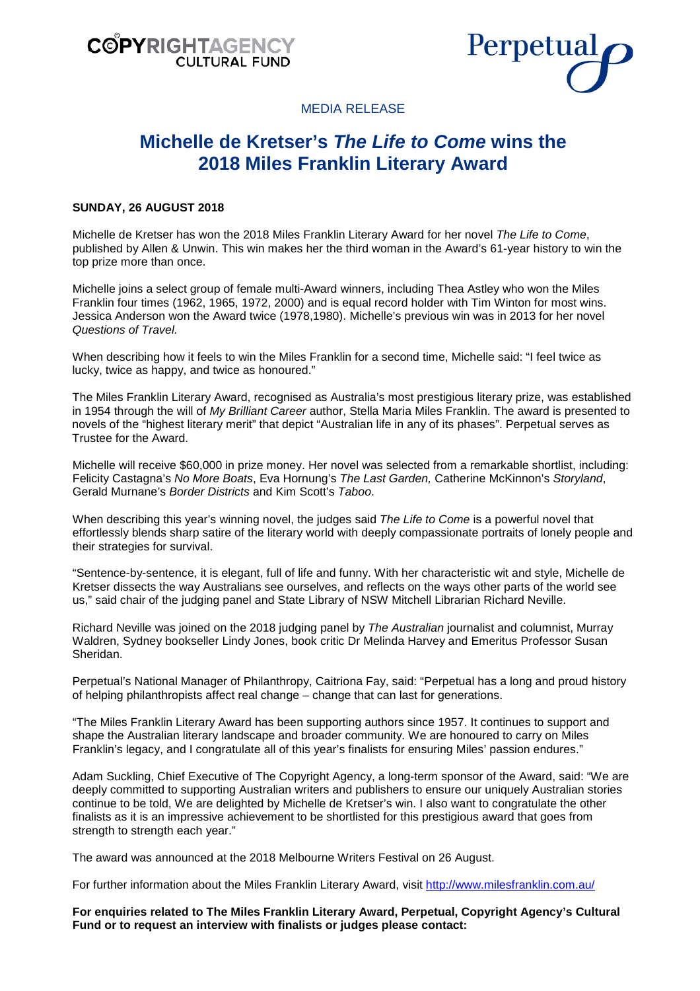



MEDIA RELEASE

# **Michelle de Kretser's** *The Life to Come* **wins the 2018 Miles Franklin Literary Award**

## **SUNDAY, 26 AUGUST 2018**

Michelle de Kretser has won the 2018 Miles Franklin Literary Award for her novel *The Life to Come*, published by Allen & Unwin. This win makes her the third woman in the Award's 61-year history to win the top prize more than once.

Michelle joins a select group of female multi-Award winners, including Thea Astley who won the Miles Franklin four times (1962, 1965, 1972, 2000) and is equal record holder with Tim Winton for most wins. Jessica Anderson won the Award twice (1978,1980). Michelle's previous win was in 2013 for her novel *Questions of Travel.*

When describing how it feels to win the Miles Franklin for a second time, Michelle said: "I feel twice as lucky, twice as happy, and twice as honoured."

The Miles Franklin Literary Award, recognised as Australia's most prestigious literary prize, was established in 1954 through the will of *My Brilliant Career* author, Stella Maria Miles Franklin. The award is presented to novels of the "highest literary merit" that depict "Australian life in any of its phases". Perpetual serves as Trustee for the Award.

Michelle will receive \$60,000 in prize money. Her novel was selected from a remarkable shortlist, including: Felicity Castagna's *No More Boats*, Eva Hornung's *The Last Garden,* Catherine McKinnon's *Storyland*, Gerald Murnane's *Border Districts* and Kim Scott's *Taboo*.

When describing this year's winning novel, the judges said *The Life to Come* is a powerful novel that effortlessly blends sharp satire of the literary world with deeply compassionate portraits of lonely people and their strategies for survival.

"Sentence-by-sentence, it is elegant, full of life and funny. With her characteristic wit and style, Michelle de Kretser dissects the way Australians see ourselves, and reflects on the ways other parts of the world see us," said chair of the judging panel and State Library of NSW Mitchell Librarian Richard Neville.

Richard Neville was joined on the 2018 judging panel by *The Australian* journalist and columnist, Murray Waldren, Sydney bookseller Lindy Jones, book critic Dr Melinda Harvey and Emeritus Professor Susan Sheridan.

Perpetual's National Manager of Philanthropy, Caitriona Fay, said: "Perpetual has a long and proud history of helping philanthropists affect real change – change that can last for generations.

"The Miles Franklin Literary Award has been supporting authors since 1957. It continues to support and shape the Australian literary landscape and broader community. We are honoured to carry on Miles Franklin's legacy, and I congratulate all of this year's finalists for ensuring Miles' passion endures."

Adam Suckling, Chief Executive of The Copyright Agency, a long-term sponsor of the Award, said: "We are deeply committed to supporting Australian writers and publishers to ensure our uniquely Australian stories continue to be told, We are delighted by Michelle de Kretser's win. I also want to congratulate the other finalists as it is an impressive achievement to be shortlisted for this prestigious award that goes from strength to strength each year."

The award was announced at the 2018 Melbourne Writers Festival on 26 August.

For further information about the Miles Franklin Literary Award, visit <http://www.milesfranklin.com.au/>

**For enquiries related to The Miles Franklin Literary Award, Perpetual, Copyright Agency's Cultural Fund or to request an interview with finalists or judges please contact:**